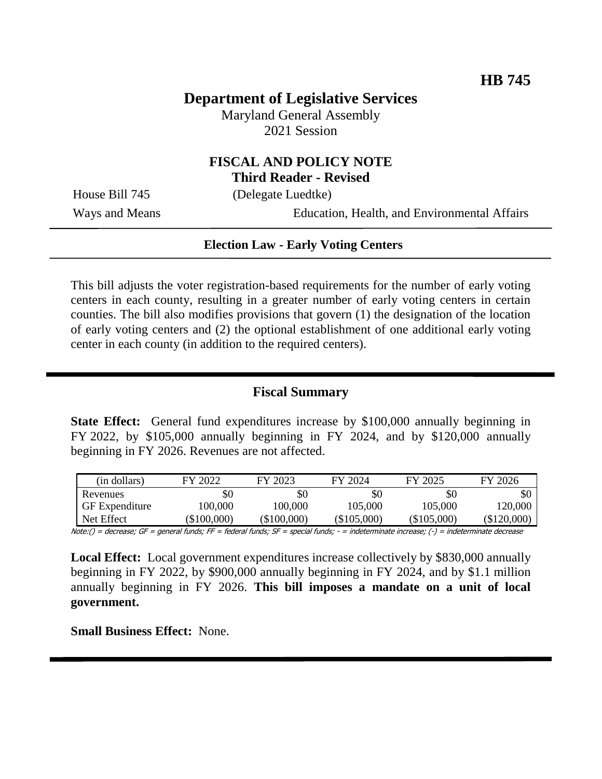# **Department of Legislative Services**

Maryland General Assembly 2021 Session

## **FISCAL AND POLICY NOTE Third Reader - Revised**

House Bill 745 (Delegate Luedtke)

Ways and Means Education, Health, and Environmental Affairs

#### **Election Law - Early Voting Centers**

This bill adjusts the voter registration-based requirements for the number of early voting centers in each county, resulting in a greater number of early voting centers in certain counties. The bill also modifies provisions that govern (1) the designation of the location of early voting centers and (2) the optional establishment of one additional early voting center in each county (in addition to the required centers).

### **Fiscal Summary**

**State Effect:** General fund expenditures increase by \$100,000 annually beginning in FY 2022, by \$105,000 annually beginning in FY 2024, and by \$120,000 annually beginning in FY 2026. Revenues are not affected.

| (in dollars)          | FY 2022       | FY 2023       | FY 2024       | FY 2025       | FY 2026     |
|-----------------------|---------------|---------------|---------------|---------------|-------------|
| Revenues              | \$0           | \$0           | \$0           | \$0           | \$0         |
| <b>GF</b> Expenditure | 100.000       | 100.000       | 105.000       | 105.000       | 120.000     |
| Net Effect            | $(\$100,000)$ | $(\$100,000)$ | $(\$105,000)$ | $(\$105,000)$ | (\$120,000) |

Note:() = decrease; GF = general funds; FF = federal funds; SF = special funds; - = indeterminate increase; (-) = indeterminate decrease

**Local Effect:** Local government expenditures increase collectively by \$830,000 annually beginning in FY 2022, by \$900,000 annually beginning in FY 2024, and by \$1.1 million annually beginning in FY 2026. **This bill imposes a mandate on a unit of local government.**

**Small Business Effect:** None.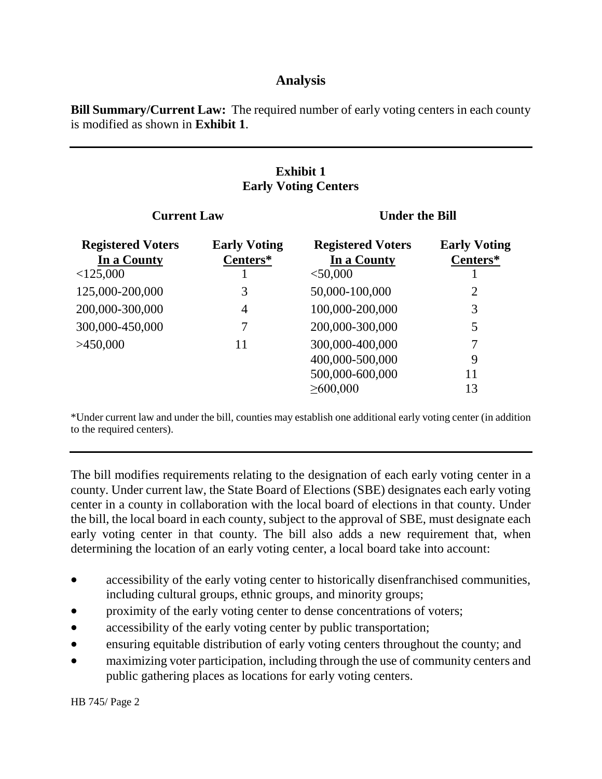### **Analysis**

**Bill Summary/Current Law:** The required number of early voting centers in each county is modified as shown in **Exhibit 1**.

### **Exhibit 1 Early Voting Centers**

| <b>Current Law</b>                      |                                 | <b>Under the Bill</b>                   |                                 |  |
|-----------------------------------------|---------------------------------|-----------------------------------------|---------------------------------|--|
| <b>Registered Voters</b><br>In a County | <b>Early Voting</b><br>Centers* | <b>Registered Voters</b><br>In a County | <b>Early Voting</b><br>Centers* |  |
| $<$ 125,000                             |                                 | $<$ 50,000                              |                                 |  |
| 125,000-200,000                         | 3                               | 50,000-100,000                          | $\overline{2}$                  |  |
| 200,000-300,000                         | $\overline{4}$                  | 100,000-200,000                         | 3                               |  |
| 300,000-450,000                         | 7                               | 200,000-300,000                         | 5                               |  |
| >450,000                                | 11                              | 300,000-400,000                         | 7                               |  |
|                                         |                                 | 400,000-500,000                         | 9                               |  |
|                                         |                                 | 500,000-600,000                         | 11                              |  |
|                                         |                                 | $\geq 600,000$                          | 13                              |  |

\*Under current law and under the bill, counties may establish one additional early voting center (in addition to the required centers).

The bill modifies requirements relating to the designation of each early voting center in a county. Under current law, the State Board of Elections (SBE) designates each early voting center in a county in collaboration with the local board of elections in that county. Under the bill, the local board in each county, subject to the approval of SBE, must designate each early voting center in that county. The bill also adds a new requirement that, when determining the location of an early voting center, a local board take into account:

- accessibility of the early voting center to historically disenfranchised communities, including cultural groups, ethnic groups, and minority groups;
- proximity of the early voting center to dense concentrations of voters;
- accessibility of the early voting center by public transportation;
- ensuring equitable distribution of early voting centers throughout the county; and
- maximizing voter participation, including through the use of community centers and public gathering places as locations for early voting centers.

HB 745/ Page 2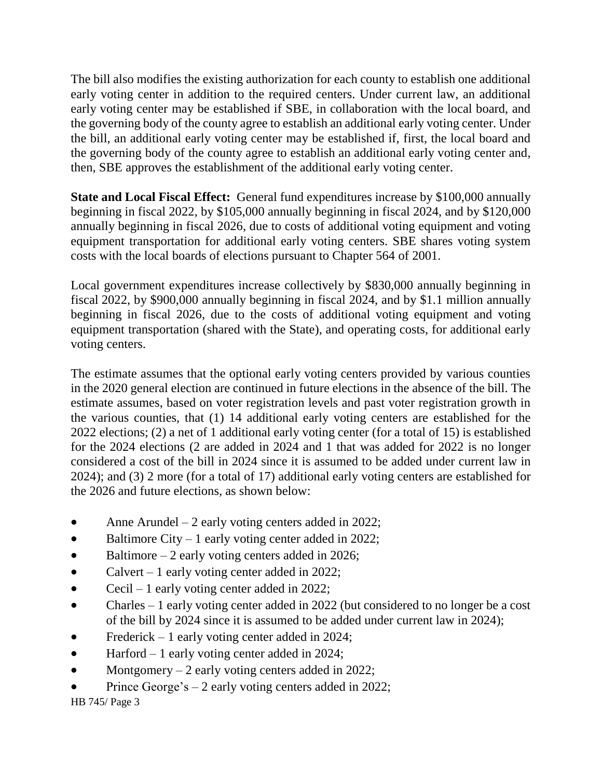The bill also modifies the existing authorization for each county to establish one additional early voting center in addition to the required centers. Under current law, an additional early voting center may be established if SBE, in collaboration with the local board, and the governing body of the county agree to establish an additional early voting center. Under the bill, an additional early voting center may be established if, first, the local board and the governing body of the county agree to establish an additional early voting center and, then, SBE approves the establishment of the additional early voting center.

**State and Local Fiscal Effect:** General fund expenditures increase by \$100,000 annually beginning in fiscal 2022, by \$105,000 annually beginning in fiscal 2024, and by \$120,000 annually beginning in fiscal 2026, due to costs of additional voting equipment and voting equipment transportation for additional early voting centers. SBE shares voting system costs with the local boards of elections pursuant to Chapter 564 of 2001.

Local government expenditures increase collectively by \$830,000 annually beginning in fiscal 2022, by \$900,000 annually beginning in fiscal 2024, and by \$1.1 million annually beginning in fiscal 2026, due to the costs of additional voting equipment and voting equipment transportation (shared with the State), and operating costs, for additional early voting centers.

The estimate assumes that the optional early voting centers provided by various counties in the 2020 general election are continued in future elections in the absence of the bill. The estimate assumes, based on voter registration levels and past voter registration growth in the various counties, that (1) 14 additional early voting centers are established for the 2022 elections; (2) a net of 1 additional early voting center (for a total of 15) is established for the 2024 elections (2 are added in 2024 and 1 that was added for 2022 is no longer considered a cost of the bill in 2024 since it is assumed to be added under current law in 2024); and (3) 2 more (for a total of 17) additional early voting centers are established for the 2026 and future elections, as shown below:

- Anne Arundel  $-2$  early voting centers added in 2022;
- $\bullet$  Baltimore City 1 early voting center added in 2022;
- $\bullet$  Baltimore 2 early voting centers added in 2026;
- Calvert 1 early voting center added in 2022;
- Cecil 1 early voting center added in 2022;
- Charles 1 early voting center added in 2022 (but considered to no longer be a cost of the bill by 2024 since it is assumed to be added under current law in 2024);
- Frederick 1 early voting center added in 2024;
- Harford 1 early voting center added in 2024;
- Montgomery  $-2$  early voting centers added in 2022;
- Prince George's 2 early voting centers added in 2022;

HB 745/ Page 3